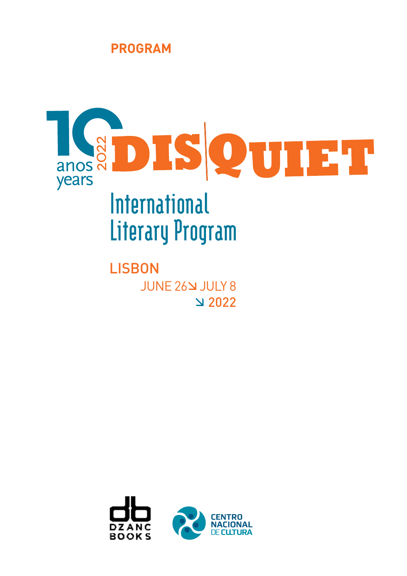



JUNE 26 JULY 8 2022 **LISBON** 

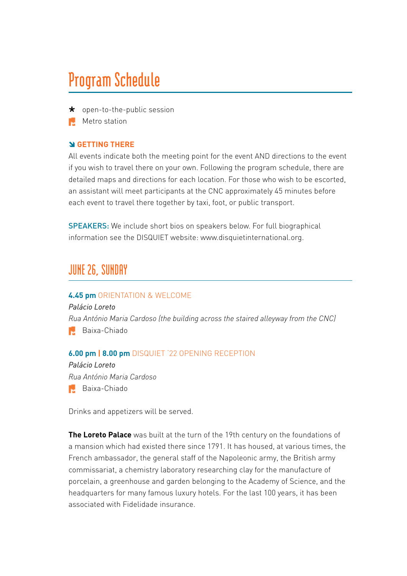# **Program Schedule**

- \* open-to-the-public session
- **Metro station**

### **GETTING THERE**

All events indicate both the meeting point for the event AND directions to the event if you wish to travel there on your own. Following the program schedule, there are detailed maps and directions for each location. For those who wish to be escorted, an assistant will meet participants at the CNC approximately 45 minutes before each event to travel there together by taxi, foot, or public transport.

SPEAKERS: We include short bios on speakers below. For full biographical information see the DISQUIET website: www.disquietinternational.org.

# **JUNE 26, SUNDAY**

#### **4.45 pm** ORIENTATION & WELCOME

*Palácio Loreto Rua António Maria Cardoso (the building across the staired alleyway from the CNC)* **Baixa-Chiado** 

### **6.00 pm | 8.00 pm** DISQUIET '22 OPENING RECEPTION

*Palácio Loreto Rua António Maria Cardoso* **Baixa-Chiado** 

Drinks and appetizers will be served.

**The Loreto Palace** was built at the turn of the 19th century on the foundations of a mansion which had existed there since 1791. It has housed, at various times, the French ambassador, the general staff of the Napoleonic army, the British army commissariat, a chemistry laboratory researching clay for the manufacture of porcelain, a greenhouse and garden belonging to the Academy of Science, and the headquarters for many famous luxury hotels. For the last 100 years, it has been associated with Fidelidade insurance.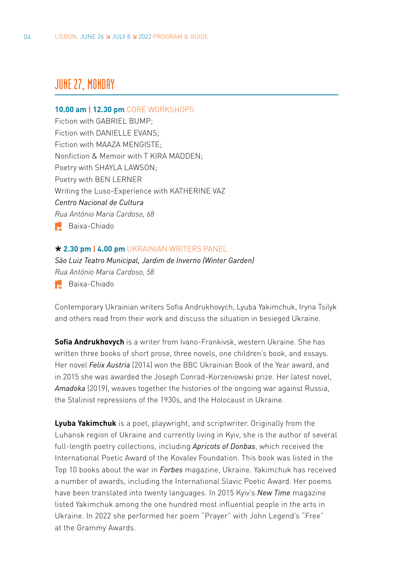# **JUNE 27, MONDAY**

#### **10.00 am | 12.30 pm** CORE WORKSHOPS

Fiction with GABRIEL BUMP; Fiction with DANIELLE EVANS; Fiction with MAAZA MENGISTE; Nonfiction & Memoir with T KIRA MADDEN; Poetry with SHAYLA LAWSON; Poetry with BEN LERNER Writing the Luso-Experience with KATHERINE VAZ *Centro Nacional de Cultura Rua António Maria Cardoso, 68* **Baixa-Chiado** 

### **2.30 pm | 4.00 pm** UKRAINIAN WRITERS PANEL

*São Luiz Teatro Municipal, Jardim de Inverno (Winter Garden) Rua António Maria Cardoso, 58*  **Baixa-Chiado** 

Contemporary Ukrainian writers Sofia Andrukhovych, Lyuba Yakimchuk, Iryna Tsilyk and others read from their work and discuss the situation in besieged Ukraine.

**Sofia Andrukhovych** is a writer from Ivano-Frankivsk, western Ukraine. She has written three books of short prose, three novels, one children's book, and essays. Her novel *Felix Austria* (2014) won the BBC Ukrainian Book of the Year award, and in 2015 she was awarded the Joseph Conrad-Korzeniowski prize. Her latest novel, *Amadoka* (2019), weaves together the histories of the ongoing war against Russia, the Stalinist repressions of the 1930s, and the Holocaust in Ukraine.

**Lyuba Yakimchuk** is a poet, playwright, and scriptwriter. Originally from the Luhansk region of Ukraine and currently living in Kyiv, she is the author of several full-length poetry collections, including *Apricots of Donbas*, which received the International Poetic Award of the Kovalev Foundation. This book was listed in the Top 10 books about the war in *Forbes* magazine, Ukraine. Yakimchuk has received a number of awards, including the International Slavic Poetic Award. Her poems have been translated into twenty languages. In 2015 Kyiv's *New Time* magazine listed Yakimchuk among the one hundred most influential people in the arts in Ukraine. In 2022 she performed her poem "Prayer" with John Legend's "Free" at the Grammy Awards.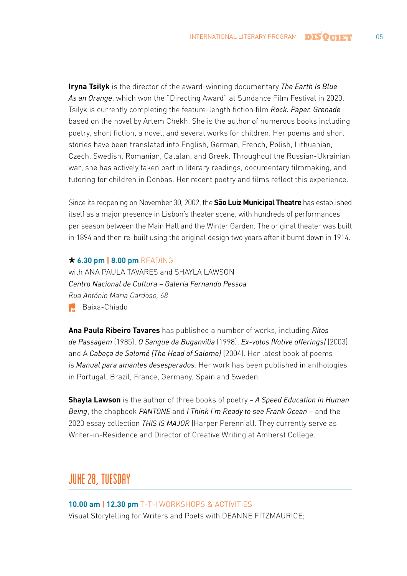**Iryna Tsilyk** is the director of the award-winning documentary *The Earth Is Blue As an Orange*, which won the "Directing Award" at Sundance Film Festival in 2020. Tsilyk is currently completing the feature-length fiction film *Rock. Paper. Grenade* based on the novel by Artem Chekh. She is the author of numerous books including poetry, short fiction, a novel, and several works for children. Her poems and short stories have been translated into English, German, French, Polish, Lithuanian, Czech, Swedish, Romanian, Catalan, and Greek. Throughout the Russian-Ukrainian war, she has actively taken part in literary readings, documentary filmmaking, and tutoring for children in Donbas. Her recent poetry and films reflect this experience.

Since its reopening on November 30, 2002, the **São Luiz Municipal Theatre** has established itself as a major presence in Lisbon's theater scene, with hundreds of performances per season between the Main Hall and the Winter Garden. The original theater was built in 1894 and then re-built using the original design two years after it burnt down in 1914.

#### **6.30 pm | 8.00 pm** READING

with ANA PAULA TAVARES and SHAYLA LAWSON *Centro Nacional de Cultura – Galeria Fernando Pessoa Rua António Maria Cardoso, 68* **Baixa-Chiado** 

**Ana Paula Ribeiro Tavares** has published a number of works, including *Ritos de Passagem* (1985), *O Sangue da Buganvília* (1998), *Ex-votos (Votive offerings)* (2003) and A *Cabeça de Salomé (The Head of Salome)* (2004). Her latest book of poems is *Manual para amantes desesperados.* Her work has been published in anthologies in Portugal, Brazil, France, Germany, Spain and Sweden.

**Shayla Lawson** is the author of three books of poetry *– A Speed Education in Human Being*, the chapbook *PANTONE* and *I Think I'm Ready to see Frank Ocean* – and the 2020 essay collection *THIS IS MAJOR* (Harper Perennial). They currently serve as Writer-in-Residence and Director of Creative Writing at Amherst College.

# **JUNE 28, TUESDAY**

**10.00 am | 12.30 pm** T-TH WORKSHOPS & ACTIVITIES Visual Storytelling for Writers and Poets with DEANNE FITZMAURICE;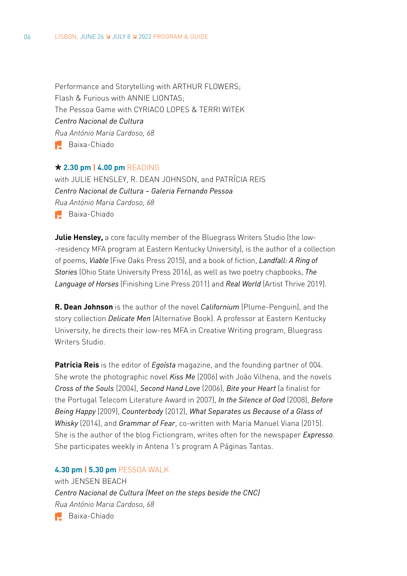Performance and Storytelling with ARTHUR FLOWERS; Flash & Furious with ANNIE LIONTAS; The Pessoa Game with CYRIACO LOPES & TERRI WITEK *Centro Nacional de Cultura Rua António Maria Cardoso, 68* Baixa-Chiado

#### **2.30 pm | 4.00 pm** READING

with JULIE HENSLEY, R. DEAN JOHNSON, and PATRÍCIA REIS *Centro Nacional de Cultura – Galeria Fernando Pessoa Rua António Maria Cardoso, 68* Baixa-Chiado

**Julie Hensley,** a core faculty member of the Bluegrass Writers Studio (the low--residency MFA program at Eastern Kentucky University), is the author of a collection of poems, *Viable* (Five Oaks Press 2015), and a book of fiction, *Landfall: A Ring of Stories* (Ohio State University Press 2016), as well as two poetry chapbooks, *The Language of Horses* (Finishing Line Press 2011) and *Real World* (Artist Thrive 2019).

**R. Dean Johnson** is the author of the novel *Californium* (Plume-Penguin), and the story collection *Delicate Men* (Alternative Book). A professor at Eastern Kentucky University, he directs their low-res MFA in Creative Writing program, Bluegrass Writers Studio.

**Patrícia Reis** is the editor of *Egoísta* magazine, and the founding partner of 004. She wrote the photographic novel *Kiss Me* (2006) with João Vilhena, and the novels *Cross of the Souls* (2004), *Second Hand Love* (2006), *Bite your Heart* (a finalist for the Portugal Telecom Literature Award in 2007), *In the Silence of God* (2008), *Before Being Happy* (2009), *Counterbody* (2012), *What Separates us Because of a Glass of Whisky* (2014), and *Grammar of Fear*, co-written with Maria Manuel Viana (2015). She is the author of the blog Fictiongram, writes often for the newspaper *Expresso*. She participates weekly in Antena 1's program A Páginas Tantas.

### **4.30 pm | 5.30 pm** PESSOA WALK

with JENSEN BEACH *Centro Nacional de Cultura (Meet on the steps beside the CNC) Rua António Maria Cardoso, 68*

**Baixa-Chiado**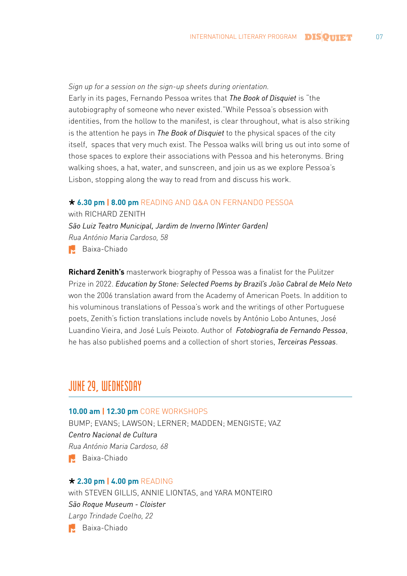*Sign up for a session on the sign-up sheets during orientation.* Early in its pages, Fernando Pessoa writes that *The Book of Disquiet* is "the autobiography of someone who never existed."While Pessoa's obsession with identities, from the hollow to the manifest, is clear throughout, what is also striking is the attention he pays in *The Book of Disquiet* to the physical spaces of the city itself, spaces that very much exist. The Pessoa walks will bring us out into some of those spaces to explore their associations with Pessoa and his heteronyms. Bring walking shoes, a hat, water, and sunscreen, and join us as we explore Pessoa's Lisbon, stopping along the way to read from and discuss his work.

#### **6.30 pm | 8.00 pm** READING AND Q&A ON FERNANDO PESSOA

with RICHARD ZENITH *São Luiz Teatro Municipal, Jardim de Inverno (Winter Garden) Rua António Maria Cardoso, 58*  Baixa-Chiado

**Richard Zenith's** masterwork biography of Pessoa was a finalist for the Pulitzer Prize in 2022. *Education by Stone: Selected Poems by Brazil's Jo*ã*o Cabral de Melo Neto* won the 2006 translation award from the Academy of American Poets. In addition to his voluminous translations of Pessoa's work and the writings of other Portuguese poets, Zenith's fiction translations include novels by António Lobo Antunes, José Luandino Vieira, and José Luís Peixoto. Author of *Fotobiografia de Fernando Pessoa*, he has also published poems and a collection of short stories, *Terceiras Pessoas*.

# **JUNE 29, WEDNESDAY**

#### **10.00 am | 12.30 pm** CORE WORKSHOPS

BUMP; EVANS; LAWSON; LERNER; MADDEN; MENGISTE; VAZ *Centro Nacional de Cultura Rua António Maria Cardoso, 68* **Baixa-Chiado** 

#### **2.30 pm | 4.00 pm** READING

with STEVEN GILLIS, ANNIE LIONTAS, and YARA MONTEIRO *São Roque Museum - Cloister Largo Trindade Coelho, 22* Baixa-Chiado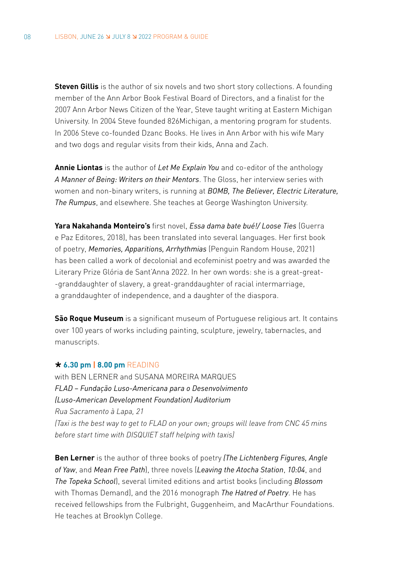**Steven Gillis** is the author of six novels and two short story collections. A founding member of the Ann Arbor Book Festival Board of Directors, and a finalist for the 2007 Ann Arbor News Citizen of the Year, Steve taught writing at Eastern Michigan University. In 2004 Steve founded 826Michigan, a mentoring program for students. In 2006 Steve co-founded Dzanc Books. He lives in Ann Arbor with his wife Mary and two dogs and regular visits from their kids, Anna and Zach.

**Annie Liontas** is the author of *Let Me Explain You* and co-editor of the anthology *A Manner of Being: Writers on their Mentors*. The Gloss, her interview series with women and non-binary writers, is running at *BOMB, The Believer, Electric Literature, The Rumpus*, and elsewhere. She teaches at George Washington University.

**Yara Nakahanda Monteiro's** first novel, *Essa dama bate bué!/ Loose Ties* (Guerra e Paz Editores, 2018), has been translated into several languages. Her first book of poetry, *Memories, Apparitions, Arrhythmias* (Penguin Random House, 2021) has been called a work of decolonial and ecofeminist poetry and was awarded the Literary Prize Glória de Sant'Anna 2022. In her own words: she is a great-great- -granddaughter of slavery, a great-granddaughter of racial intermarriage, a granddaughter of independence, and a daughter of the diaspora.

**São Roque Museum** is a significant museum of Portuguese religious art. It contains over 100 years of works including painting, sculpture, jewelry, tabernacles, and manuscripts.

#### **6.30 pm | 8.00 pm** READING

with BEN LERNER and SUSANA MOREIRA MARQUES *FLAD – Fundação Luso-Americana para o Desenvolvimento (Luso-American Development Foundation) Auditorium Rua Sacramento à Lapa, 21 (Taxi is the best way to get to FLAD on your own; groups will leave from CNC 45 mins before start time with DISQUIET staff helping with taxis)*

**Ben Lerner** is the author of three books of poetry *(The Lichtenberg Figures, Angle of Yaw*, and *Mean Free Path*), three novels (*Leaving the Atocha Station*, *10:04*, and *The Topeka School*), several limited editions and artist books (including *Blossom* with Thomas Demand), and the 2016 monograph *The Hatred of Poetry*. He has received fellowships from the Fulbright, Guggenheim, and MacArthur Foundations. He teaches at Brooklyn College.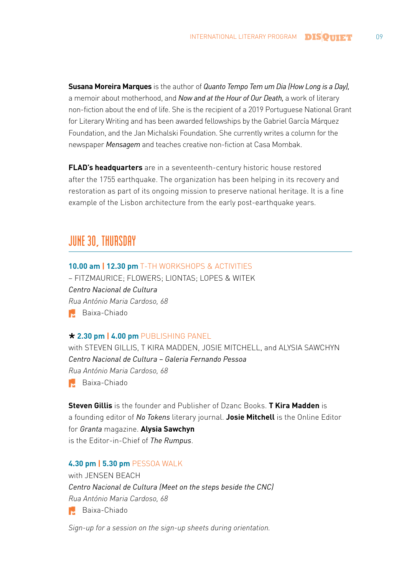**Susana Moreira Marques** is the author of *Quanto Tempo Tem um Dia (How Long is a Day),*  a memoir about motherhood, and *Now and at the Hour of Our Death,* a work of literary non-fiction about the end of life. She is the recipient of a 2019 Portuguese National Grant for Literary Writing and has been awarded fellowships by the Gabriel García Márquez Foundation, and the Jan Michalski Foundation. She currently writes a column for the newspaper *Mensagem* and teaches creative non-fiction at Casa Mombak.

**FLAD's headquarters** are in a seventeenth-century historic house restored after the 1755 earthquake. The organization has been helping in its recovery and restoration as part of its ongoing mission to preserve national heritage. It is a fine example of the Lisbon architecture from the early post-earthquake years.

# **JUNE 30, THURSDAY**

### **10.00 am | 12.30 pm** T-TH WORKSHOPS & ACTIVITIES

– FITZMAURICE; FLOWERS; LIONTAS; LOPES & WITEK *Centro Nacional de Cultura Rua António Maria Cardoso, 68* **Baixa-Chiado** 

#### **2.30 pm | 4.00 pm** PUBLISHING PANEL

with STEVEN GILLIS, T KIRA MADDEN, JOSIE MITCHELL, and ALYSIA SAWCHYN *Centro Nacional de Cultura – Galeria Fernando Pessoa Rua António Maria Cardoso, 68* **Baixa-Chiado** 

**Steven Gillis** is the founder and Publisher of Dzanc Books. **T Kira Madden** is a founding editor of *No Tokens* literary journal. **Josie Mitchell** is the Online Editor for *Granta* magazine. **Alysia Sawchyn** is the Editor-in-Chief of *The Rumpus*.

#### **4.30 pm | 5.30 pm** PESSOA WALK

with JENSEN BEACH *Centro Nacional de Cultura (Meet on the steps beside the CNC) Rua António Maria Cardoso, 68* **Baixa-Chiado** 

*Sign-up for a session on the sign-up sheets during orientation.*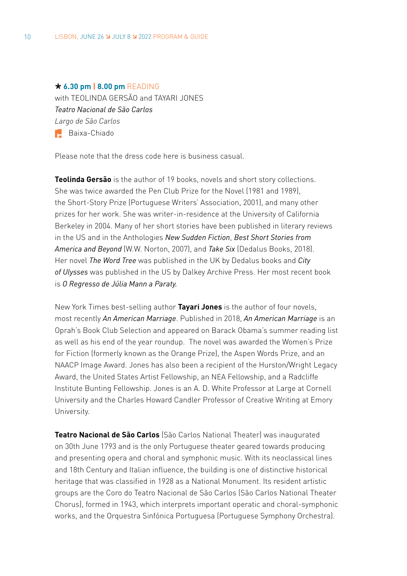#### **6.30 pm | 8.00 pm** READING

with TEOLINDA GERSÃO and TAYARI JONES *Teatro Nacional de São Carlos Largo de São Carlos*  Baixa-Chiado

Please note that the dress code here is business casual.

**Teolinda Gersão** is the author of 19 books, novels and short story collections. She was twice awarded the Pen Club Prize for the Novel (1981 and 1989), the Short-Story Prize (Portuguese Writers' Association, 2001), and many other prizes for her work. She was writer-in-residence at the University of California Berkeley in 2004. Many of her short stories have been published in literary reviews in the US and in the Anthologies *New Sudden Fiction*, *Best Short Stories from America and Beyond* (W.W. Norton, 2007), and *Take Six* (Dedalus Books, 2018). Her novel *The Word Tree* was published in the UK by Dedalus books and *City of Ulysses* was published in the US by Dalkey Archive Press. Her most recent book is *O Regresso de Júlia Mann a Paraty.*

New York Times best-selling author **Tayari Jones** is the author of four novels, most recently *An American Marriage*. Published in 2018, *An American Marriage* is an Oprah's Book Club Selection and appeared on Barack Obama's summer reading list as well as his end of the year roundup. The novel was awarded the Women's Prize for Fiction (formerly known as the Orange Prize), the Aspen Words Prize, and an NAACP Image Award. Jones has also been a recipient of the Hurston/Wright Legacy Award, the United States Artist Fellowship, an NEA Fellowship, and a Radcliffe Institute Bunting Fellowship. Jones is an A. D. White Professor at Large at Cornell University and the Charles Howard Candler Professor of Creative Writing at Emory University.

**Teatro Nacional de São Carlos** (São Carlos National Theater) was inaugurated on 30th June 1793 and is the only Portuguese theater geared towards producing and presenting opera and choral and symphonic music. With its neoclassical lines and 18th Century and Italian influence, the building is one of distinctive historical heritage that was classified in 1928 as a National Monument. Its resident artistic groups are the Coro do Teatro Nacional de São Carlos (São Carlos National Theater Chorus), formed in 1943, which interprets important operatic and choral-symphonic works, and the Orquestra Sinfónica Portuguesa (Portuguese Symphony Orchestra).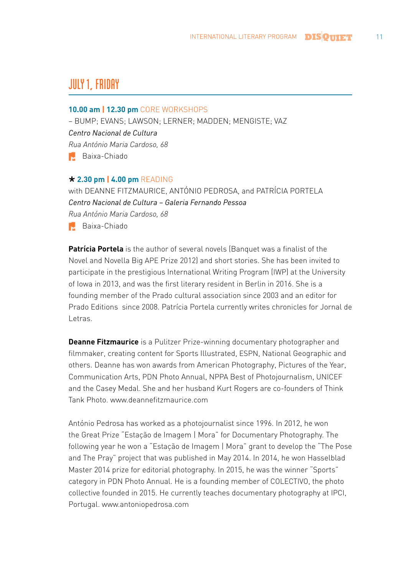# **JULY 1, FRIDAY**

### **10.00 am | 12.30 pm** CORE WORKSHOPS

– BUMP; EVANS; LAWSON; LERNER; MADDEN; MENGISTE; VAZ *Centro Nacional de Cultura Rua António Maria Cardoso, 68* **Baixa-Chiado** 

### **2.30 pm | 4.00 pm** READING

with DEANNE FITZMAURICE, ANTÓNIO PEDROSA, and PATRÍCIA PORTELA *Centro Nacional de Cultura – Galeria Fernando Pessoa Rua António Maria Cardoso, 68* Baixa-Chiado

**Patrícia Portela** is the author of several novels (Banquet was a finalist of the Novel and Novella Big APE Prize 2012) and short stories. She has been invited to participate in the prestigious International Writing Program (IWP) at the University of Iowa in 2013, and was the first literary resident in Berlin in 2016. She is a founding member of the Prado cultural association since 2003 and an editor for Prado Editions since 2008. Patrícia Portela currently writes chronicles for Jornal de Letras.

**Deanne Fitzmaurice** is a Pulitzer Prize-winning documentary photographer and filmmaker, creating content for Sports Illustrated, ESPN, National Geographic and others. Deanne has won awards from American Photography, Pictures of the Year, Communication Arts, PDN Photo Annual, NPPA Best of Photojournalism, UNICEF and the Casey Medal. She and her husband Kurt Rogers are co-founders of Think Tank Photo. www.deannefitzmaurice.com

António Pedrosa has worked as a photojournalist since 1996. In 2012, he won the Great Prize "Estação de Imagem | Mora" for Documentary Photography. The following year he won a "Estação de Imagem | Mora" grant to develop the "The Pose and The Pray" project that was published in May 2014. In 2014, he won Hasselblad Master 2014 prize for editorial photography. In 2015, he was the winner "Sports" category in PDN Photo Annual. He is a founding member of [COLECTIVO,](http://www.colectivophoto.com/) the photo collective founded in 2015. He currently teaches documentary photography at [IPCI](http://ipci.pt/course/master-fotografia-artistica/), Portugal. www.antoniopedrosa.com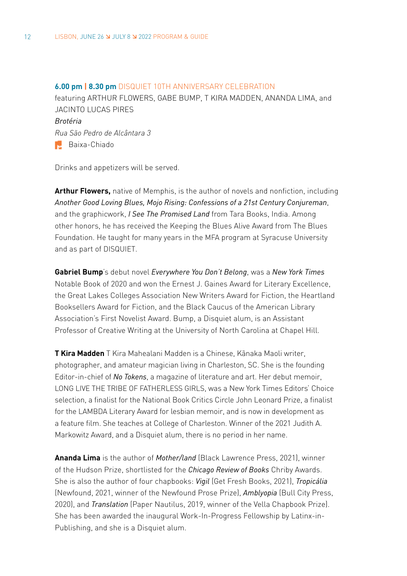**6.00 pm | 8.30 pm** DISQUIET 10TH ANNIVERSARY CELEBRATION featuring ARTHUR FLOWERS, GABE BUMP, T KIRA MADDEN, ANANDA LIMA, and JACINTO LUCAS PIRES *Brotéria [Rua São Pedro de Alcântara 3](https://goo.gl/maps/ZYNS9zNC1h9baDCL8)* **Baixa-Chiado** 

Drinks and appetizers will be served.

**Arthur Flowers,** native of Memphis, is the author of novels and nonfiction, including *Another Good Loving Blues, Mojo Rising: Confessions of a 21st Century Conjureman*, and the graphicwork, *I See The Promised Land* from Tara Books, India. Among other honors, he has received the Keeping the Blues Alive Award from The Blues Foundation. He taught for many years in the MFA program at Syracuse University and as part of DISQUIET.

**Gabriel Bump**'s debut novel *Everywhere You Don't Belong*, was a *New York Times* Notable Book of 2020 and won the Ernest J. Gaines Award for Literary Excellence, the Great Lakes Colleges Association New Writers Award for Fiction, the Heartland Booksellers Award for Fiction, and the Black Caucus of the American Library Association's First Novelist Award. Bump, a Disquiet alum, is an Assistant Professor of Creative Writing at the University of North Carolina at Chapel Hill.

**[T Kira Madden](http://www.tkiramadden.com/)** T Kira Mahealani Madden is a Chinese, Kãnaka Maoli writer, photographer, and amateur magician living in Charleston, SC. She is the founding Editor-in-chief of *No Tokens*, a magazine of literature and art. Her debut memoir, LONG LIVE THE TRIBE OF FATHERLESS GIRLS, was a New York Times Editors' Choice selection, a finalist for the National Book Critics Circle John Leonard Prize, a finalist for the LAMBDA Literary Award for lesbian memoir, and is now in development as a feature film. She teaches at College of Charleston. Winner of the 2021 Judith A. Markowitz Award, and a Disquiet alum, there is no period in her name.

**Ananda Lima** is the author of *Mother/land* (Black Lawrence Press, 2021), winner of the Hudson Prize, shortlisted for the *Chicago Review of Books* Chriby Awards. She is also the author of four chapbooks: *Vigil* (Get Fresh Books, 2021), *Tropicália* (Newfound, 2021, winner of the Newfound Prose Prize), *Amblyopia* (Bull City Press, 2020), and *Translation* (Paper Nautilus, 2019, winner of the Vella Chapbook Prize). She has been awarded the inaugural Work-In-Progress Fellowship by Latinx-in-Publishing, and she is a Disquiet alum.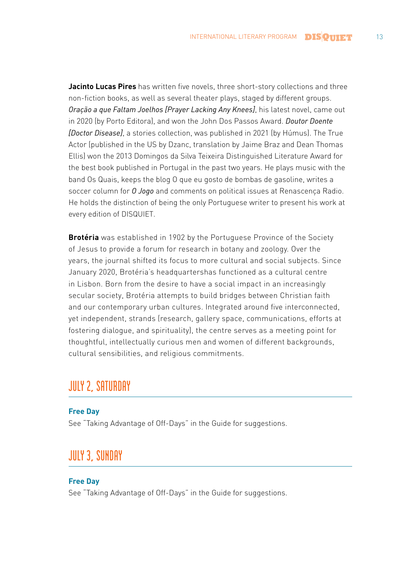**Jacinto Lucas Pires** has written five novels, three short-story collections and three non-fiction books, as well as several theater plays, staged by different groups. *Oração a que Faltam Joelhos [Prayer Lacking Any Knees]*, his latest novel, came out in 2020 (by Porto Editora), and won the John Dos Passos Award. *Doutor Doente [Doctor Disease]*, a stories collection, was published in 2021 (by Húmus). The True Actor (published in the US by Dzanc, translation by Jaime Braz and Dean Thomas Ellis) won the 2013 Domingos da Silva Teixeira Distinguished Literature Award for the best book published in Portugal in the past two years. He plays music with the band Os Quais, keeps the blog O que eu gosto de bombas de gasoline, writes a soccer column for *O Jogo* and comments on political issues at Renascença Radio. He holds the distinction of being the only Portuguese writer to present his work at every edition of DISQUIET.

**Brotéria** was established in 1902 by the Portuguese Province of the Society of Jesus to provide a forum for research in botany and zoology. Over the years, the journal shifted its focus to more cultural and social subjects. Since January 2020, Brotéria's headquartershas functioned as a cultural centre in Lisbon. Born from the desire to have a social impact in an increasingly secular society, Brotéria attempts to build bridges between Christian faith and our contemporary urban cultures. Integrated around five interconnected, yet independent, strands (research, gallery space, communications, efforts at fostering dialogue, and spirituality), the centre serves as a meeting point for thoughtful, intellectually curious men and women of different backgrounds, cultural sensibilities, and religious commitments.

# **JULY 2, SATURDAY**

#### **Free Day**

See "Taking Advantage of Off-Days" in the Guide for suggestions.

### **JULY 3, SUNDAY**

### **Free Day**

See "Taking Advantage of Off-Days" in the Guide for suggestions.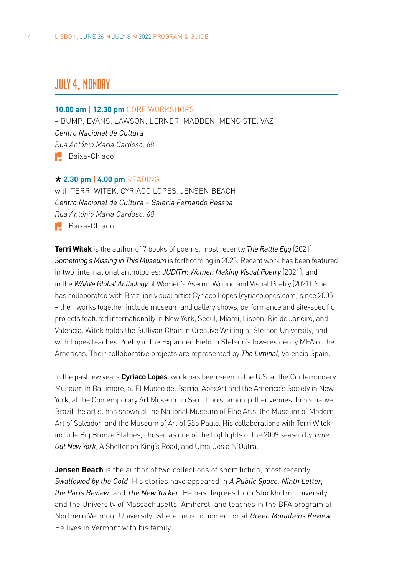# **JULY 4, MONDAY**

#### **10.00 am | 12.30 pm** CORE WORKSHOPS

– BUMP; EVANS; LAWSON; LERNER; MADDEN; MENGISTE; VAZ *Centro Nacional de Cultura Rua António Maria Cardoso, 68* Baixa-Chiado

#### **2.30 pm | 4.00 pm** READING

with TERRI WITEK, CYRIACO LOPES, JENSEN BEACH *Centro Nacional de Cultura – Galeria Fernando Pessoa Rua António Maria Cardoso, 68* **Baixa-Chiado** 

**Terri Witek** is the author of 7 books of poems, most recently *The Rattle Egg* (2021); *Something's Missing in This Museum* is forthcoming in 2023. Recent work has been featured in two international anthologies: *JUDITH: Women Making Visual Poetry* (2021), and in the *WAAVe Global Anthology* of Women's Asemic Writing and Visual Poetry (2021). She has collaborated with Brazilian visual artist Cyriaco Lopes [\(cyriacolopes.com](http://cyriacolopes.com/)) since 2005 – their works together include museum and gallery shows, performance and site-specific projects featured internationally in New York, Seoul, Miami, Lisbon, Rio de Janeiro, and Valencia. Witek holds the Sullivan Chair in Creative Writing at Stetson University, and with Lopes teaches Poetry in the Expanded Field in Stetson's low-residency MFA of the Americas. Their colloborative projects are represented by *The Liminal*, Valencia Spain.

In the past few years **Cyriaco Lopes**' work has been seen in the U.S. at the Contemporary Museum in Baltimore, at El Museo del Barrio, ApexArt and the America's Society in New York, at the Contemporary Art Museum in Saint Louis, among other venues. In his native Brazil the artist has shown at the National Museum of Fine Arts, the Museum of Modern Art of Salvador, and the Museum of Art of São Paulo. His collaborations with Terri Witek include Big Bronze [Statues,](http://terriwitek.com/collaborations/big-bronze-statues-october/) chosen as one of the highlights of the 2009 season by *Time Out New York*, A [Shelter](http://terriwitek.com/collaborations/a-shelter-on-kings-road/) on King's Road, and Uma Cosia [N'Outra](http://terriwitek.com/collaborations/uma-coisa-noutra/).

**Jensen Beach** is the author of two collections of short fiction, most recently *Swallowed by the Cold*. His stories have appeared in *A Public Space, Ninth Letter, the Paris Review*, and *The New Yorker*. He has degrees from Stockholm University and the University of Massachusetts, Amherst, and teaches in the BFA program at Northern Vermont University, where he is fiction editor at *Green Mountains Review*. He lives in Vermont with his family.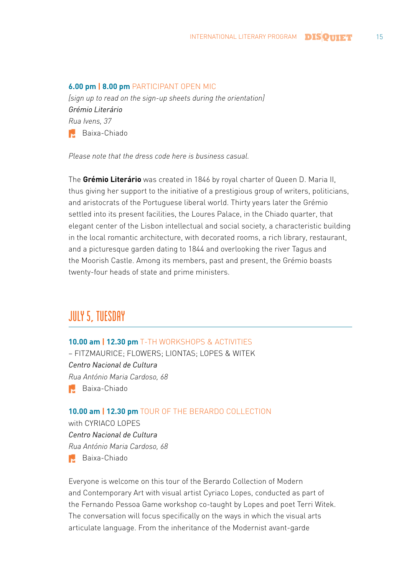#### **6.00 pm | 8.00 pm** PARTICIPANT OPEN MIC

*[sign up to read on the sign-up sheets during the orientation] Grémio Literário Rua Ivens, 37* **Baixa-Chiado** 

*Please note that the dress code here is business casual.*

The **Grémio Literário** was created in 1846 by royal charter of Queen D. Maria II, thus giving her support to the initiative of a prestigious group of writers, politicians, and aristocrats of the Portuguese liberal world. Thirty years later the Grémio settled into its present facilities, the Loures Palace, in the Chiado quarter, that elegant center of the Lisbon intellectual and social society, a characteristic building in the local romantic architecture, with decorated rooms, a rich library, restaurant, and a picturesque garden dating to 1844 and overlooking the river Tagus and the Moorish Castle. Among its members, past and present, the Grémio boasts twenty-four heads of state and prime ministers.

# **JULY 5, TUESDAY**

#### **10.00 am | 12.30 pm** T-TH WORKSHOPS & ACTIVITIES

– FITZMAURICE; FLOWERS; LIONTAS; LOPES & WITEK *Centro Nacional de Cultura Rua António Maria Cardoso, 68* **Baixa-Chiado** 

### **10.00 am | 12.30 pm** TOUR OF THE BERARDO COLLECTION

with CYRIACO LOPES *Centro Nacional de Cultura Rua António Maria Cardoso, 68* Baixa-Chiado

Everyone is welcome on this tour of the Berardo Collection of Modern and Contemporary Art with visual artist Cyriaco Lopes, conducted as part of the Fernando Pessoa Game workshop co-taught by Lopes and poet Terri Witek. The conversation will focus specifically on the ways in which the visual arts articulate language. From the inheritance of the Modernist avant-garde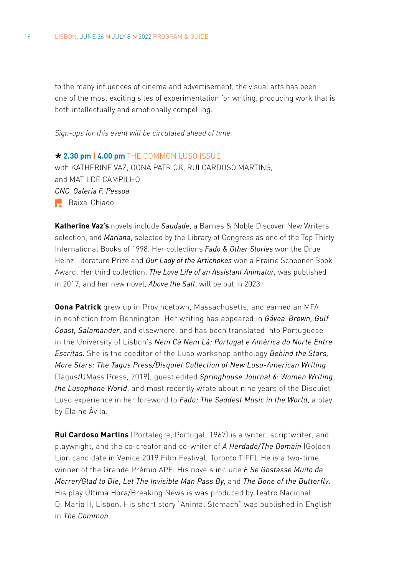to the many influences of cinema and advertisement, the visual arts has been one of the most exciting sites of experimentation for writing, producing work that is both intellectually and emotionally compelling.

*Sign-ups for this event will be circulated ahead of time.*

### **2.30 pm | 4.00 pm** THE COMMON LUSO ISSUE with KATHERINE VAZ, OONA PATRICK, RUI CARDOSO MARTINS, and MATILDE CAMPILHO *CNC Galeria F. Pessoa*

 Baixa-Chiado

**Katherine Vaz's** novels include *Saudade*, a Barnes & Noble Discover New Writers selection, and *Mariana*, selected by the Library of Congress as one of the Top Thirty International Books of 1998. Her collections *Fado & Other Stories* won the Drue Heinz Literature Prize and *Our Lady of the Artichokes* won a Prairie Schooner Book Award. Her third collection, *The Love Life of an Assistant Animator,* was published in 2017, and her new novel, *Above the Salt*, will be out in 2023.

**Oona Patrick** grew up in Provincetown, Massachusetts, and earned an MFA in nonfiction from Bennington. Her writing has appeared in *Gávea-Brown, Gulf Coast, Salamander,* and elsewhere, and has been translated into Portuguese in the University of Lisbon's *Nem Cá Nem Lá: Portugal e América do Norte Entre Escritas.* She is the coeditor of the Luso workshop anthology *Behind the Stars, More Stars: The Tagus Press/Disquiet Collection of New Luso-American Writing* (Tagus/UMass Press, 2019), guest edited *Springhouse Journal 6: Women Writing the Lusophone World*, and most recently wrote about nine years of the Disquiet Luso experience in her foreword to *Fado: The Saddest Music in the World*, a play by Elaine Ávila.

**Rui Cardoso Martins** (Portalegre, Portugal, 1967) is a writer, scriptwriter, and playwright, and the co-creator and co-writer of *A Herdade/The Domain* (Golden Lion candidate in Venice 2019 Film Festival, Toronto TIFF). He is a two-time winner of the Grande Prémio APE. His novels include *E Se Gostasse Muito de Morrer/Glad to Die*, *Let The Invisible Man Pass By,* and *The Bone of the Butterfly*. His play Última Hora/Breaking News is was produced by Teatro Nacional D. Maria II, Lisbon. His short story "Animal Stomach" was published in English in *The Common*.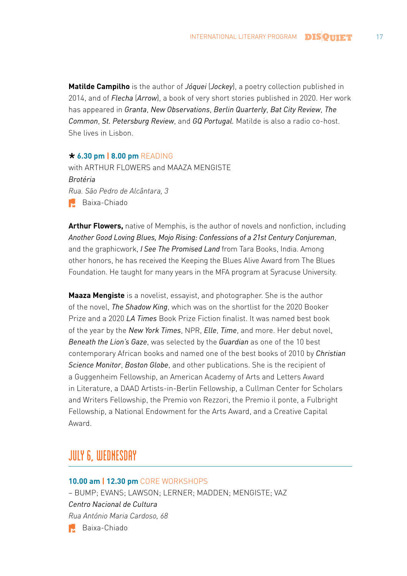**Matilde Campilho** is the author of *Jóquei* (*Jockey*), a poetry collection published in 2014, and of *Flecha* (*Arrow*), a book of very short stories published in 2020. Her work has appeared in *Granta*, *New Observations*, *Berlin Quarterly*, *Bat City Review*, *The Common*, *St. Petersburg Review*, and *GQ Portugal.* Matilde is also a radio co-host. She lives in Lisbon.

### **6.30 pm | 8.00 pm** READING

with ARTHUR FLOWERS and MAAZA MENGISTE *Brotéria [Rua. São Pedro de Alcântara, 3](https://goo.gl/maps/ZYNS9zNC1h9baDCL8)* Baixa-Chiado

**Arthur Flowers,** native of Memphis, is the author of novels and nonfiction, including *Another Good Loving Blues, Mojo Rising: Confessions of a 21st Century Conjureman*, and the graphicwork, *I See The Promised Land* from Tara Books, India. Among other honors, he has received the Keeping the Blues Alive Award from The Blues Foundation. He taught for many years in the MFA program at Syracuse University.

**Maaza Mengiste** is a novelist, essayist, and photographer. She is the author of the novel, *The Shadow King*, which was on the shortlist for the 2020 Booker Prize and a 2020 *LA Times* Book Prize Fiction finalist. It was named best book of the year by the *New York Times*, NPR, *Elle*, *Time*, and more. Her debut novel, *Beneath the Lion's Gaze*, was selected by the *Guardian* as one of the 10 best contemporary African books and named one of the best books of 2010 by *Christian Science Monitor*, *Boston Globe*, and other publications. She is the recipient of a Guggenheim Fellowship, an American Academy of Arts and Letters Award in Literature, a DAAD Artists-in-Berlin Fellowship, a Cullman Center for Scholars and Writers Fellowship, the Premio von Rezzori, the Premio il ponte, a Fulbright Fellowship, a National Endowment for the Arts Award, and a Creative Capital Award.

# **JULY 6, WEDNESDAY**

#### **10.00 am | 12.30 pm** CORE WORKSHOPS

– BUMP; EVANS; LAWSON; LERNER; MADDEN; MENGISTE; VAZ *Centro Nacional de Cultura Rua António Maria Cardoso, 68* **Baixa-Chiado**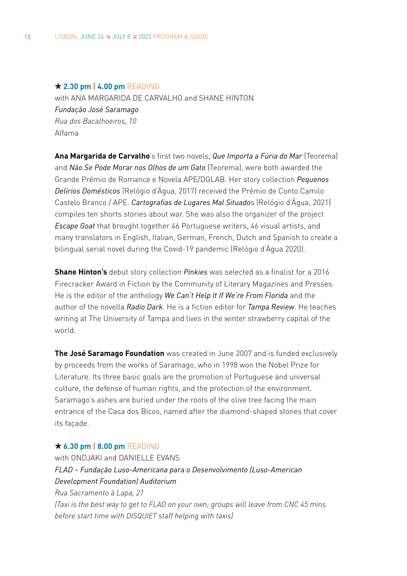#### **2.30 pm | 4.00 pm** READING

with ANA MARGARIDA DE CARVALHO and SHANE HINTON *Fundação José Saramago Rua dos Bacalhoeiros, 10* Alfama

**Ana Margarida de Carvalho**'s first two novels, *Que Importa a Fúria do Mar* (Teorema) and *Não Se Pode Morar nos Olhos de um Gato* (Teorema), were both awarded the Grande Prémio de Romance e Novela APE/DGLAB. Her story collection *Pequenos Delírios Domésticos* (Relógio d'Água, 2017) received the Prémio de Conto Camilo Castelo Branco / APE. *Cartografias de Lugares Mal Situado*s (Relógio d'Água, 2021) compiles ten shorts stories about war. She was also the organizer of the project *Escape Goat* that brought together 46 Portuguese writers, 46 visual artists, and many translators in English, Italian, German, French, Dutch and Spanish to create a bilingual serial novel during the Covid-19 pandemic (Relógio d'Água 2020).

**Shane Hinton's** debut story collection *Pinkies* was selected as a finalist for a 2016 Firecracker Award in Fiction by the Community of Literary Magazines and Presses. He is the editor of the anthology *We Can't Help It If We're From Florida* and the author of the novella *Radio Dark*. He is a fiction editor for *Tampa Review*. He teaches writing at The University of Tampa and lives in the winter strawberry capital of the world.

**The José Saramago Foundation** was created in June 2007 and is funded exclusively by proceeds from the works of Saramago, who in 1998 won the Nobel Prize for Literature. Its three basic goals are the promotion of Portuguese and universal culture, the defense of human rights, and the protection of the environment. Saramago's ashes are buried under the roots of the olive tree facing the main entrance of the Casa dos Bicos, named after the diamond-shaped stones that cover its facade.

#### **6.30 pm | 8.00 pm** READING

with ONDJAKI and DANIELLE EVANS *FLAD – Fundação Luso-Americana para o Desenvolvimento (Luso-American Development Foundation) Auditorium Rua Sacramento à Lapa, 21 (Taxi is the best way to get to FLAD on your own; groups will leave from CNC 45 mins before start time with DISQUIET staff helping with taxis)*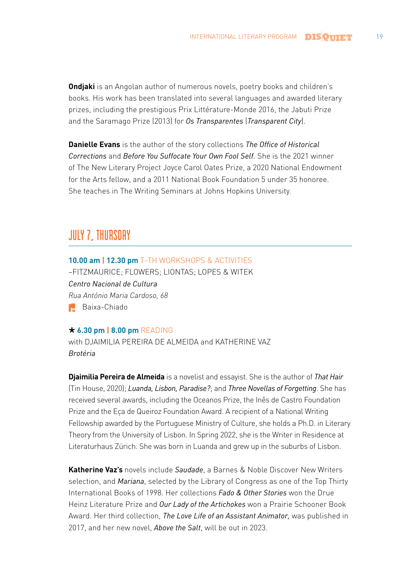**Ondjaki** is an Angolan author of numerous novels, poetry books and children's books. His work has been translated into several languages and awarded literary prizes, including the prestigious Prix Littérature-Monde 2016, the Jabuti Prize and the Saramago Prize (2013) for *Os Transparentes* (*Transparent City*).

**Danielle Evans** is the author of the story collections *The Office of Historical Corrections* and *Before You Suffocate Your Own Fool Self*. She is the 2021 winner of The New Literary Project Joyce Carol Oates Prize, a 2020 National Endowment for the Arts fellow, and a 2011 National Book Foundation 5 under 35 honoree. She teaches in The Writing Seminars at Johns Hopkins University.

# **JULY 7, THURSDAY**

### **10.00 am | 12.30 pm** T-TH WORKSHOPS & ACTIVITIES

–FITZMAURICE; FLOWERS; LIONTAS; LOPES & WITEK *Centro Nacional de Cultura Rua António Maria Cardoso, 68* **Baixa-Chiado** 

### **6.30 pm | 8.00 pm** READING

with DJAIMILIA PEREIRA DE ALMEIDA and KATHERINE VAZ *Brotéria*

**Djaimilia Pereira de Almeida** is a novelist and essayist. She is the author of *That Hair*  (Tin House, 2020); *Luanda, Lisbon, Paradise?*; and *Three Novellas of Forgetting*. She has received several awards, including the Oceanos Prize, the Inês de Castro Foundation Prize and the Eça de Queiroz Foundation Award. A recipient of a National Writing Fellowship awarded by the Portuguese Ministry of Culture, she holds a Ph.D. in Literary Theory from the University of Lisbon. In Spring 2022, she is the Writer in Residence at Literaturhaus Zürich. She was born in Luanda and grew up in the suburbs of Lisbon.

**Katherine Vaz's** novels include *Saudade*, a Barnes & Noble Discover New Writers selection, and *Mariana*, selected by the Library of Congress as one of the Top Thirty International Books of 1998. Her collections *Fado & Other Stories* won the Drue Heinz Literature Prize and *Our Lady of the Artichokes* won a Prairie Schooner Book Award. Her third collection, *The Love Life of an Assistant Animator,* was published in 2017, and her new novel, *Above the Salt*, will be out in 2023.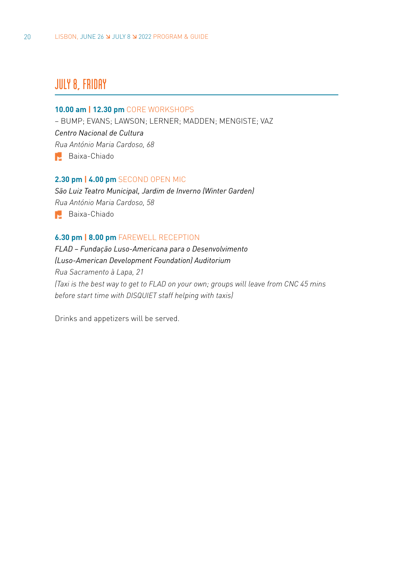# **JULY 8, FRIDAY**

#### **10.00 am | 12.30 pm** CORE WORKSHOPS

– BUMP; EVANS; LAWSON; LERNER; MADDEN; MENGISTE; VAZ *Centro Nacional de Cultura Rua António Maria Cardoso, 68* Baixa-Chiado

#### **2.30 pm | 4.00 pm** SECOND OPEN MIC

*São Luiz Teatro Municipal, Jardim de Inverno (Winter Garden) Rua António Maria Cardoso, 58*  Baixa-Chiado

### **6.30 pm | 8.00 pm** FAREWELL RECEPTION

*FLAD – Fundação Luso-Americana para o Desenvolvimento (Luso-American Development Foundation) Auditorium Rua Sacramento à Lapa, 21 (Taxi is the best way to get to FLAD on your own; groups will leave from CNC 45 mins before start time with DISQUIET staff helping with taxis)*

Drinks and appetizers will be served.